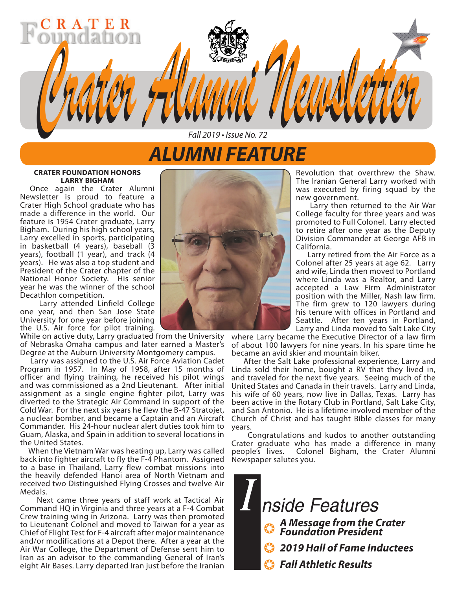## *ALUMNI FEATURE*

*Fall 2019 • Issue No. 72*

*Crater Alumni Newsletter Crater Alumni Newsletter*

### **CRATER FOUNDATION HONORS LARRY BIGHAM**

 $A$   $T$ 

Once again the Crater Alumni Newsletter is proud to feature a Crater High School graduate who has made a difference in the world. Our feature is 1954 Crater graduate, Larry Bigham. During his high school years, Larry excelled in sports, participating in basketball (4 years), baseball (3 years), football (1 year), and track (4 years). He was also a top student and President of the Crater chapter of the National Honor Society. His senior year he was the winner of the school Decathlon competition.

 Larry attended Linfield College one year, and then San Jose State University for one year before joining the U.S. Air force for pilot training.

While on active duty, Larry graduated from the University of Nebraska Omaha campus and later earned a Master's Degree at the Auburn University Montgomery campus.

 Larry was assigned to the U.S. Air Force Aviation Cadet Program in 1957. In May of 1958, after 15 months of officer and flying training, he received his pilot wings and was commissioned as a 2nd Lieutenant. After initial assignment as a single engine fighter pilot, Larry was diverted to the Strategic Air Command in support of the Cold War. For the next six years he flew the B-47 Stratojet, a nuclear bomber, and became a Captain and an Aircraft Commander. His 24-hour nuclear alert duties took him to Guam, Alaska, and Spain in addition to several locations in the United States.

 When the Vietnam War was heating up, Larry was called back into fighter aircraft to fly the F-4 Phantom. Assigned to a base in Thailand, Larry flew combat missions into the heavily defended Hanoi area of North Vietnam and received two Distinguished Flying Crosses and twelve Air Medals.

 Next came three years of staff work at Tactical Air Command HQ in Virginia and three years at a F-4 Combat Crew training wing in Arizona. Larry was then promoted to Lieutenant Colonel and moved to Taiwan for a year as Chief of Flight Test for F-4 aircraft after major maintenance and/or modifications at a Depot there. After a year at the Air War College, the Department of Defense sent him to Iran as an advisor to the commanding General of Iran's eight Air Bases. Larry departed Iran just before the Iranian



Revolution that overthrew the Shaw. The Iranian General Larry worked with was executed by firing squad by the new government.

 Larry then returned to the Air War College faculty for three years and was promoted to Full Colonel. Larry elected to retire after one year as the Deputy Division Commander at George AFB in California.

 Larry retired from the Air Force as a Colonel after 25 years at age 62. Larry and wife, Linda then moved to Portland where Linda was a Realtor, and Larry accepted a Law Firm Administrator position with the Miller, Nash law firm. The firm grew to 120 lawyers during his tenure with offices in Portland and Seattle. After ten years in Portland, Larry and Linda moved to Salt Lake City

where Larry became the Executive Director of a law firm of about 100 lawyers for nine years. In his spare time he became an avid skier and mountain biker.

 After the Salt Lake professional experience, Larry and Linda sold their home, bought a RV that they lived in, and traveled for the next five years. Seeing much of the United States and Canada in their travels. Larry and Linda, his wife of 60 years, now live in Dallas, Texas. Larry has been active in the Rotary Club in Portland, Salt Lake City, and San Antonio. He is a lifetime involved member of the Church of Christ and has taught Bible classes for many years.

 Congratulations and kudos to another outstanding Crater graduate who has made a difference in many people's lives. Colonel Bigham, the Crater Alumni Newspaper salutes you.

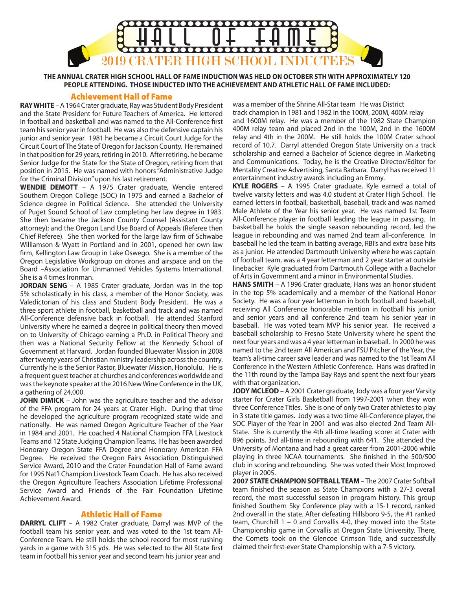

**THE ANNUAL CRATER HIGH SCHOOL HALL OF FAME INDUCTION WAS HELD ON OCTOBER 5TH WITH APPROXIMATELY 120 PEOPLE ATTENDING. THOSE INDUCTED INTO THE ACHIEVEMENT AND ATHLETIC HALL OF FAME INCLUDED:**

#### Achievement Hall of Fame

**RAY WHITE** – A 1964 Crater graduate, Ray was Student Body President and the State President for Future Teachers of America. He lettered in football and basketball and was named to the All-Conference first team his senior year in football. He was also the defensive captain his junior and senior year. 1981 he became a Circuit Court Judge for the Circuit Court of The State of Oregon for Jackson County. He remained in that position for 29 years, retiring in 2010. After retiring, he became Senior Judge for the State for the State of Oregon, retiring from that position in 2015. He was named with honors "Administrative Judge for the Criminal Division" upon his last retirement.

**WENDIE DEMOTT** – A 1975 Crater graduate, Wendie entered Southern Oregon College (SOC) in 1975 and earned a Bachelor of Science degree in Political Science. She attended the University of Puget Sound School of Law completing her law degree in 1983. She then became the Jackson County Counsel (Assistant County attorney); and the Oregon Land Use Board of Appeals (Referee then Chief Referee). She then worked for the large law firm of Schwabe Williamson & Wyatt in Portland and in 2001, opened her own law firm, Kellington Law Group in Lake Oswego. She is a member of the Oregon Legislative Workgroup on drones and airspace and on the Board –Association for Unmanned Vehicles Systems International. She is a 4 times Ironman.

**JORDAN SENG** – A 1985 Crater graduate, Jordan was in the top 5% scholastically in his class, a member of the Honor Society, was Valedictorian of his class and Student Body President. He was a three sport athlete in football, basketball and track and was named All-Conference defensive back in football. He attended Stanford University where he earned a degree in political theory then moved on to University of Chicago earning a Ph.D. in Political Theory and then was a National Security Fellow at the Kennedy School of Government at Harvard. Jordan founded Bluewater Mission in 2008 after twenty years of Christian ministry leadership across the country. Currently he is the Senior Pastor, Bluewater Mission, Honolulu. He is a frequent guest teacher at churches and conferences worldwide and was the keynote speaker at the 2016 New Wine Conference in the UK, a gathering of 24,000.

**JOHN DIMICK** – John was the agriculture teacher and the advisor of the FFA program for 24 years at Crater High. During that time he developed the agriculture program recognized state wide and nationally. He was named Oregon Agriculture Teacher of the Year in 1984 and 2001. He coached 4 National Champion FFA Livestock Teams and 12 State Judging Champion Teams. He has been awarded Honorary Oregon State FFA Degree and Honorary American FFA Degree. He received the Oregon Fairs Association Distinguished Service Award, 2010 and the Crater Foundation Hall of Fame award for 1995 Nat'l Champion Livestock Team Coach. He has also received the Oregon Agriculture Teachers Association Lifetime Professional Service Award and Friends of the Fair Foundation Lifetime Achievement Award.

#### Athletic Hall of Fame

**DARRYL CLIFT** – A 1982 Crater graduate, Darryl was MVP of the football team his senior year, and was voted to the 1st team All-Conference Team. He still holds the school record for most rushing yards in a game with 315 yds. He was selected to the All State first team in football his senior year and second team his junior year and

was a member of the Shrine All-Star team He was District track champion in 1981 and 1982 in the 100M, 200M, 400M relay and 1600M relay. He was a member of the 1982 State Champion 400M relay team and placed 2nd in the 100M, 2nd in the 1600M relay and 4th in the 200M. He still holds the 100M Crater school record of 10.7. Darryl attended Oregon State University on a track scholarship and earned a Bachelor of Science degree in Marketing and Communications. Today, he is the Creative Director/Editor for Mentality Creative Advertising, Santa Barbara. Darryl has received 11 entertainment industry awards including an Emmy.

**KYLE ROGERS** – A 1995 Crater graduate, Kyle earned a total of twelve varsity letters and was 4.0 student at Crater High School. He earned letters in football, basketball, baseball, track and was named Male Athlete of the Year his senior year. He was named 1st Team All-Conference player in football leading the league in passing. In basketball he holds the single season rebounding record, led the league in rebounding and was named 2nd team all-conference. In baseball he led the team in batting average, RBI's and extra base hits as a junior. He attended Dartmouth University where he was captain of football team, was a 4 year letterman and 2 year starter at outside linebacker Kyle graduated from Dartmouth College with a Bachelor of Arts in Government and a minor in Environmental Studies.

**HANS SMITH** – A 1996 Crater graduate, Hans was an honor student in the top 5% academically and a member of the National Honor Society. He was a four year letterman in both football and baseball, receiving All Conference honorable mention in football his junior and senior years and all conference 2nd team his senior year in baseball. He was voted team MVP his senior year. He received a baseball scholarship to Fresno State University where he spent the next four years and was a 4 year letterman in baseball. In 2000 he was named to the 2nd team All American and FSU Pitcher of the Year, the team's all-time career save leader and was named to the 1st Team All Conference in the Western Athletic Conference. Hans was drafted in the 11th round by the Tampa Bay Rays and spent the next four years with that organization.

**JODY MCLEOD** – A 2001 Crater graduate, Jody was a four year Varsity starter for Crater Girls Basketball from 1997-2001 when they won three Conference Titles. She is one of only two Crater athletes to play in 3 state title games. Jody was a two time All-Conference player, the SOC Player of the Year in 2001 and was also elected 2nd Team All-State. She is currently the 4th all-time leading scorer at Crater with 896 points, 3rd all-time in rebounding with 641. She attended the University of Montana and had a great career from 2001-2006 while playing in three NCAA tournaments. She finished in the 500/500 club in scoring and rebounding. She was voted their Most Improved player in 2005.

**2007 STATE CHAMPION SOFTBALL TEAM** – The 2007 Crater Softball team finished the season as State Champions with a 27-3 overall record, the most successful season in program history. This group finished Southern Sky Conference play with a 15-1 record, ranked 2nd overall in the state. After defeating Hillsboro 9-5, the #1 ranked team, Churchill 1 – 0 and Corvallis 4-0, they moved into the State Championship game in Corvallis at Oregon State University. There, the Comets took on the Glencoe Crimson Tide, and successfully claimed their first-ever State Championship with a 7-5 victory.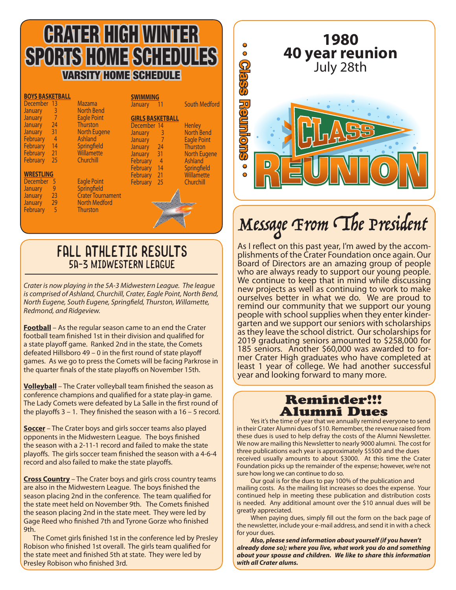## CRATER HIGH WINTER SPORTS HOME SCHEDULES VARSITY HOME SCHEDULE

| <b>BOYS BASKETBALL</b><br><b>December</b> | $\overline{13}$    | <b>Mazama</b>            | <b>SWIMMING</b><br><b>January</b> | -11                     | <b>South Medford</b> |
|-------------------------------------------|--------------------|--------------------------|-----------------------------------|-------------------------|----------------------|
| <b>January</b>                            | 3                  | <b>North Bend</b>        |                                   |                         |                      |
| <b>January</b>                            | $\hat{\mathbf{r}}$ | <b>Eagle Point</b>       |                                   |                         |                      |
|                                           |                    |                          |                                   | <b>GIRLS BASKETBALL</b> |                      |
| <b>January</b>                            | 24                 | <b>Thurston</b>          | December 14                       |                         | <b>Henley</b>        |
| <b>January</b>                            | 31                 | <b>North Eugene</b>      | <b>January</b>                    | 3                       | <b>North Bend</b>    |
| February                                  | $\overline{4}$     | Ashland                  | <b>January</b>                    | $\sqrt{2}$              | <b>Eagle Point</b>   |
| February                                  | 14                 | Springfield              | <b>January</b>                    | 24                      | Thurston             |
| February                                  | 21                 | Willamette               | <b>January</b>                    | 31                      | <b>North Eugene</b>  |
| February                                  | 25                 | Churchill                | February                          | $\overline{4}$          | Ashland              |
|                                           |                    |                          | February                          | 14                      | Springfield          |
| <b>WRESTLING</b>                          |                    |                          | February                          | 21                      | Willamette           |
| December                                  | 5                  | <b>Eagle Point</b>       | February                          | 25                      | Churchill            |
| <b>January</b>                            | 9                  | Springfield              |                                   |                         |                      |
| <b>January</b>                            | 23                 | <b>Crater Tournament</b> |                                   |                         |                      |
| <b>January</b>                            | 29                 | <b>North Medford</b>     |                                   |                         |                      |
| February                                  | $\overline{5}$     | <b>Thurston</b>          |                                   |                         |                      |
|                                           |                    |                          |                                   |                         |                      |
|                                           |                    |                          |                                   |                         |                      |

### FALL ATHLETIC RESULTS 5A-3 Midwestern League

*Crater is now playing in the 5A-3 Midwestern League. The league is comprised of Ashland, Churchill, Crater, Eagle Point, North Bend, North Eugene, South Eugene, Springfield, Thurston, Willamette, Redmond, and Ridgeview.*

**Football** – As the regular season came to an end the Crater football team finished 1st in their division and qualified for a state playoff game. Ranked 2nd in the state, the Comets defeated Hillsboro 49 – 0 in the first round of state playoff games. As we go to press the Comets will be facing Parkrose in the quarter finals of the state playoffs on November 15th.

**Volleyball** – The Crater volleyball team finished the season as conference champions and qualified for a state play-in game. The Lady Comets were defeated by La Salle in the first round of the playoffs  $3 - 1$ . They finished the season with a  $16 - 5$  record.

**Soccer** – The Crater boys and girls soccer teams also played opponents in the Midwestern League. The boys finished the season with a 2-11-1 record and failed to make the state playoffs. The girls soccer team finished the season with a 4-6-4 record and also failed to make the state playoffs.

**Cross Country** – The Crater boys and girls cross country teams are also in the Midwestern League. The boys finished the season placing 2nd in the conference. The team qualified for the state meet held on November 9th. The Comets finished the season placing 2nd in the state meet. They were led by Gage Reed who finished 7th and Tyrone Gorze who finished 9th.

 The Comet girls finished 1st in the conference led by Presley Robison who finished 1st overall. The girls team qualified for the state meet and finished 5th at state. They were led by Presley Robison who finished 3rd.



# Message From The President

As I reflect on this past year, I'm awed by the accom- plishments of the Crater Foundation once again. Our Board of Directors are an amazing group of people who are always ready to support our young people. We continue to keep that in mind while discussing new projects as well as continuing to work to make ourselves better in what we do. We are proud to remind our community that we support our young<br>people with school supplies when they enter kindergarten and we support our seniors with scholarships as they leave the school district. Our scholarships for 2019 graduating seniors amounted to \$258,000 for 185 seniors. Another \$60,000 was awarded to for- mer Crater High graduates who have completed at least 1 year of college. We had another successful year and looking forward to many more.

# Reminder!!!

**Alumni Dues**<br>Yes it's the time of year that we annually remind everyone to send in their Crater Alumni dues of \$10. Remember, the revenue raised from these dues is used to help defray the costs of the Alumni Newsletter. We now are mailing this Newsletter to nearly 9000 alumni. The cost for three publications each year is approximately \$5500 and the dues received usually amounts to about \$3000. At this time the Crater Foundation picks up the remainder of the expense; however, we're not sure how long we can continue to do so.

Our goal is for the dues to pay 100% of the publication and mailing costs. As the mailing list increases so does the expense. Your continued help in meeting these publication and distribution costs is needed. Any additional amount over the \$10 annual dues will be greatly appreciated.

When paying dues, simply fill out the form on the back page of the newsletter, include your e-mail address, and send it in with a check for your dues.

*Also, please send information about yourself (if you haven't already done so); where you live, what work you do and something about your spouse and children. We like to share this information with all Crater alums.*